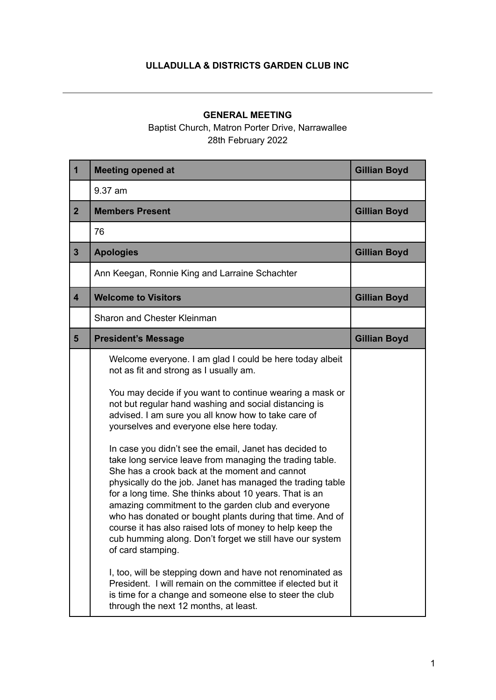## **ULLADULLA & DISTRICTS GARDEN CLUB INC**

## **GENERAL MEETING**

Baptist Church, Matron Porter Drive, Narrawallee 28th February 2022

| $\mathbf 1$             | <b>Meeting opened at</b>                                                                                                                                                                                                                                                                                                                                                                                                                                                                                                                                                                                                                                                                                                                                                                                                                                                                                                                                                                                                                                                                                                  | <b>Gillian Boyd</b> |
|-------------------------|---------------------------------------------------------------------------------------------------------------------------------------------------------------------------------------------------------------------------------------------------------------------------------------------------------------------------------------------------------------------------------------------------------------------------------------------------------------------------------------------------------------------------------------------------------------------------------------------------------------------------------------------------------------------------------------------------------------------------------------------------------------------------------------------------------------------------------------------------------------------------------------------------------------------------------------------------------------------------------------------------------------------------------------------------------------------------------------------------------------------------|---------------------|
|                         | 9.37 am                                                                                                                                                                                                                                                                                                                                                                                                                                                                                                                                                                                                                                                                                                                                                                                                                                                                                                                                                                                                                                                                                                                   |                     |
| 2 <sup>1</sup>          | <b>Members Present</b>                                                                                                                                                                                                                                                                                                                                                                                                                                                                                                                                                                                                                                                                                                                                                                                                                                                                                                                                                                                                                                                                                                    | <b>Gillian Boyd</b> |
|                         | 76                                                                                                                                                                                                                                                                                                                                                                                                                                                                                                                                                                                                                                                                                                                                                                                                                                                                                                                                                                                                                                                                                                                        |                     |
| $\mathbf{3}$            | <b>Apologies</b>                                                                                                                                                                                                                                                                                                                                                                                                                                                                                                                                                                                                                                                                                                                                                                                                                                                                                                                                                                                                                                                                                                          | <b>Gillian Boyd</b> |
|                         | Ann Keegan, Ronnie King and Larraine Schachter                                                                                                                                                                                                                                                                                                                                                                                                                                                                                                                                                                                                                                                                                                                                                                                                                                                                                                                                                                                                                                                                            |                     |
| $\overline{\mathbf{4}}$ | <b>Welcome to Visitors</b>                                                                                                                                                                                                                                                                                                                                                                                                                                                                                                                                                                                                                                                                                                                                                                                                                                                                                                                                                                                                                                                                                                | <b>Gillian Boyd</b> |
|                         | <b>Sharon and Chester Kleinman</b>                                                                                                                                                                                                                                                                                                                                                                                                                                                                                                                                                                                                                                                                                                                                                                                                                                                                                                                                                                                                                                                                                        |                     |
| 5                       | <b>President's Message</b>                                                                                                                                                                                                                                                                                                                                                                                                                                                                                                                                                                                                                                                                                                                                                                                                                                                                                                                                                                                                                                                                                                | <b>Gillian Boyd</b> |
|                         | Welcome everyone. I am glad I could be here today albeit<br>not as fit and strong as I usually am.<br>You may decide if you want to continue wearing a mask or<br>not but regular hand washing and social distancing is<br>advised. I am sure you all know how to take care of<br>yourselves and everyone else here today.<br>In case you didn't see the email, Janet has decided to<br>take long service leave from managing the trading table.<br>She has a crook back at the moment and cannot<br>physically do the job. Janet has managed the trading table<br>for a long time. She thinks about 10 years. That is an<br>amazing commitment to the garden club and everyone<br>who has donated or bought plants during that time. And of<br>course it has also raised lots of money to help keep the<br>cub humming along. Don't forget we still have our system<br>of card stamping.<br>I, too, will be stepping down and have not renominated as<br>President. I will remain on the committee if elected but it<br>is time for a change and someone else to steer the club<br>through the next 12 months, at least. |                     |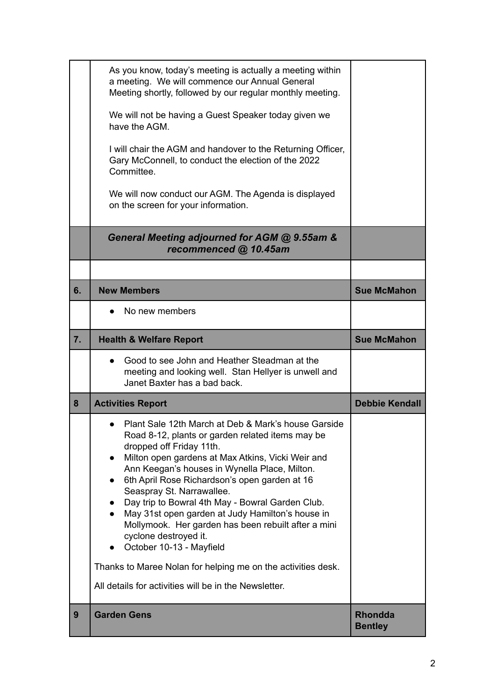|    | As you know, today's meeting is actually a meeting within<br>a meeting. We will commence our Annual General<br>Meeting shortly, followed by our regular monthly meeting.<br>We will not be having a Guest Speaker today given we<br>have the AGM.<br>I will chair the AGM and handover to the Returning Officer,<br>Gary McConnell, to conduct the election of the 2022<br>Committee.<br>We will now conduct our AGM. The Agenda is displayed<br>on the screen for your information.                                                                                                                                                                                                                        |                       |
|----|-------------------------------------------------------------------------------------------------------------------------------------------------------------------------------------------------------------------------------------------------------------------------------------------------------------------------------------------------------------------------------------------------------------------------------------------------------------------------------------------------------------------------------------------------------------------------------------------------------------------------------------------------------------------------------------------------------------|-----------------------|
|    | General Meeting adjourned for AGM @ 9.55am &<br>recommenced @ 10.45am                                                                                                                                                                                                                                                                                                                                                                                                                                                                                                                                                                                                                                       |                       |
|    |                                                                                                                                                                                                                                                                                                                                                                                                                                                                                                                                                                                                                                                                                                             |                       |
| 6. | <b>New Members</b>                                                                                                                                                                                                                                                                                                                                                                                                                                                                                                                                                                                                                                                                                          | <b>Sue McMahon</b>    |
|    | No new members                                                                                                                                                                                                                                                                                                                                                                                                                                                                                                                                                                                                                                                                                              |                       |
| 7. | <b>Health &amp; Welfare Report</b>                                                                                                                                                                                                                                                                                                                                                                                                                                                                                                                                                                                                                                                                          | <b>Sue McMahon</b>    |
|    | Good to see John and Heather Steadman at the<br>meeting and looking well. Stan Hellyer is unwell and                                                                                                                                                                                                                                                                                                                                                                                                                                                                                                                                                                                                        |                       |
|    | Janet Baxter has a bad back.                                                                                                                                                                                                                                                                                                                                                                                                                                                                                                                                                                                                                                                                                |                       |
| 8  | <b>Activities Report</b>                                                                                                                                                                                                                                                                                                                                                                                                                                                                                                                                                                                                                                                                                    | <b>Debbie Kendall</b> |
|    | Plant Sale 12th March at Deb & Mark's house Garside<br>Road 8-12, plants or garden related items may be<br>dropped off Friday 11th.<br>Milton open gardens at Max Atkins, Vicki Weir and<br>$\bullet$<br>Ann Keegan's houses in Wynella Place, Milton.<br>6th April Rose Richardson's open garden at 16<br>$\bullet$<br>Seaspray St. Narrawallee.<br>Day trip to Bowral 4th May - Bowral Garden Club.<br>$\bullet$<br>May 31st open garden at Judy Hamilton's house in<br>Mollymook. Her garden has been rebuilt after a mini<br>cyclone destroyed it.<br>October 10-13 - Mayfield<br>Thanks to Maree Nolan for helping me on the activities desk.<br>All details for activities will be in the Newsletter. |                       |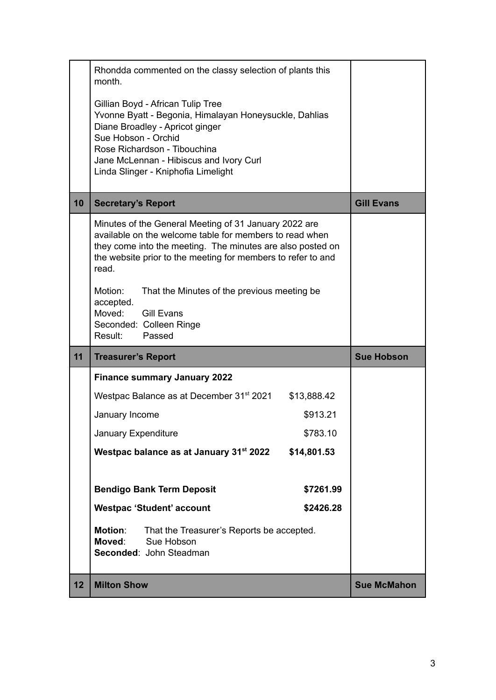| 11 | <b>Finance summary January 2022</b><br>Westpac Balance as at December 31 <sup>st</sup> 2021<br>January Income<br>January Expenditure<br>Westpac balance as at January 31 <sup>st</sup> 2022                                                                             | \$13,888.42<br>\$913.21<br>\$783.10<br>\$14,801.53 | <b>Sue Hobson</b> |
|----|-------------------------------------------------------------------------------------------------------------------------------------------------------------------------------------------------------------------------------------------------------------------------|----------------------------------------------------|-------------------|
|    |                                                                                                                                                                                                                                                                         |                                                    |                   |
|    |                                                                                                                                                                                                                                                                         |                                                    |                   |
|    |                                                                                                                                                                                                                                                                         |                                                    |                   |
|    |                                                                                                                                                                                                                                                                         |                                                    |                   |
|    |                                                                                                                                                                                                                                                                         |                                                    |                   |
|    | <b>Treasurer's Report</b>                                                                                                                                                                                                                                               |                                                    |                   |
|    | Motion:<br>That the Minutes of the previous meeting be.<br>accepted.<br>Moved: Gill Evans<br>Seconded: Colleen Ringe<br>Result:<br>Passed                                                                                                                               |                                                    |                   |
|    | Minutes of the General Meeting of 31 January 2022 are<br>available on the welcome table for members to read when<br>they come into the meeting. The minutes are also posted on<br>the website prior to the meeting for members to refer to and<br>read.                 |                                                    |                   |
| 10 | <b>Secretary's Report</b>                                                                                                                                                                                                                                               |                                                    | <b>Gill Evans</b> |
|    | Gillian Boyd - African Tulip Tree<br>Yvonne Byatt - Begonia, Himalayan Honeysuckle, Dahlias<br>Diane Broadley - Apricot ginger<br>Sue Hobson - Orchid<br>Rose Richardson - Tibouchina<br>Jane McLennan - Hibiscus and Ivory Curl<br>Linda Slinger - Kniphofia Limelight |                                                    |                   |
|    | Rhondda commented on the classy selection of plants this<br>month.                                                                                                                                                                                                      |                                                    |                   |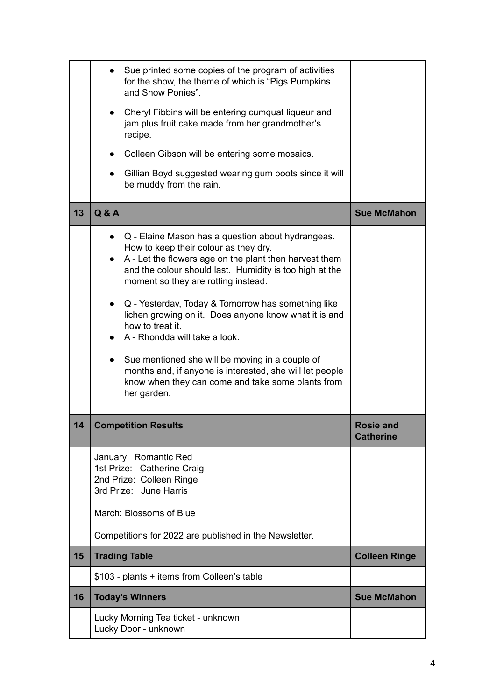|    | Sue printed some copies of the program of activities<br>for the show, the theme of which is "Pigs Pumpkins<br>and Show Ponies".<br>• Cheryl Fibbins will be entering cumquat liqueur and<br>jam plus fruit cake made from her grandmother's<br>recipe.<br>Colleen Gibson will be entering some mosaics.<br>Gillian Boyd suggested wearing gum boots since it will<br>be muddy from the rain.                                                                                                                                                                                                                    |                                      |
|----|-----------------------------------------------------------------------------------------------------------------------------------------------------------------------------------------------------------------------------------------------------------------------------------------------------------------------------------------------------------------------------------------------------------------------------------------------------------------------------------------------------------------------------------------------------------------------------------------------------------------|--------------------------------------|
| 13 | <b>Q&amp;A</b>                                                                                                                                                                                                                                                                                                                                                                                                                                                                                                                                                                                                  | <b>Sue McMahon</b>                   |
|    | Q - Elaine Mason has a question about hydrangeas.<br>How to keep their colour as they dry.<br>A - Let the flowers age on the plant then harvest them<br>and the colour should last. Humidity is too high at the<br>moment so they are rotting instead.<br>• Q - Yesterday, Today & Tomorrow has something like<br>lichen growing on it. Does anyone know what it is and<br>how to treat it.<br>A - Rhondda will take a look.<br>Sue mentioned she will be moving in a couple of<br>months and, if anyone is interested, she will let people<br>know when they can come and take some plants from<br>her garden. |                                      |
| 14 | <b>Competition Results</b>                                                                                                                                                                                                                                                                                                                                                                                                                                                                                                                                                                                      | <b>Rosie and</b><br><b>Catherine</b> |
|    | January: Romantic Red<br>1st Prize: Catherine Craig<br>2nd Prize: Colleen Ringe<br>3rd Prize: June Harris<br>March: Blossoms of Blue<br>Competitions for 2022 are published in the Newsletter.                                                                                                                                                                                                                                                                                                                                                                                                                  |                                      |
| 15 | <b>Trading Table</b>                                                                                                                                                                                                                                                                                                                                                                                                                                                                                                                                                                                            | <b>Colleen Ringe</b>                 |
|    | \$103 - plants + items from Colleen's table                                                                                                                                                                                                                                                                                                                                                                                                                                                                                                                                                                     |                                      |
| 16 | <b>Today's Winners</b>                                                                                                                                                                                                                                                                                                                                                                                                                                                                                                                                                                                          | <b>Sue McMahon</b>                   |
|    | Lucky Morning Tea ticket - unknown<br>Lucky Door - unknown                                                                                                                                                                                                                                                                                                                                                                                                                                                                                                                                                      |                                      |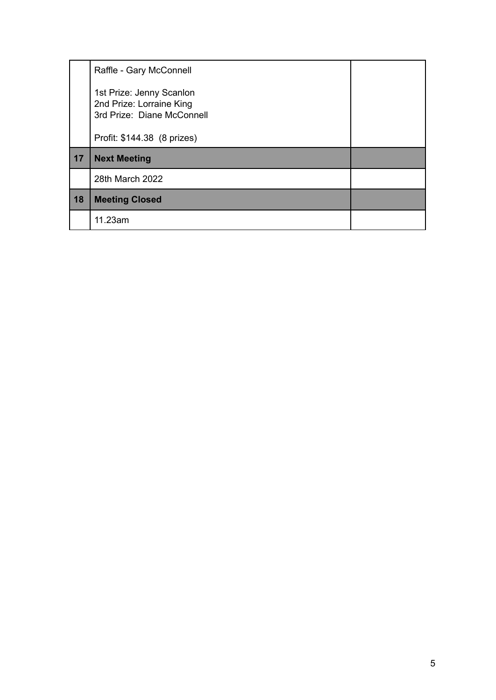|    | Raffle - Gary McConnell                                                                                           |  |
|----|-------------------------------------------------------------------------------------------------------------------|--|
|    | 1st Prize: Jenny Scanlon<br>2nd Prize: Lorraine King<br>3rd Prize: Diane McConnell<br>Profit: \$144.38 (8 prizes) |  |
|    |                                                                                                                   |  |
| 17 | <b>Next Meeting</b>                                                                                               |  |
|    | 28th March 2022                                                                                                   |  |
| 18 | <b>Meeting Closed</b>                                                                                             |  |